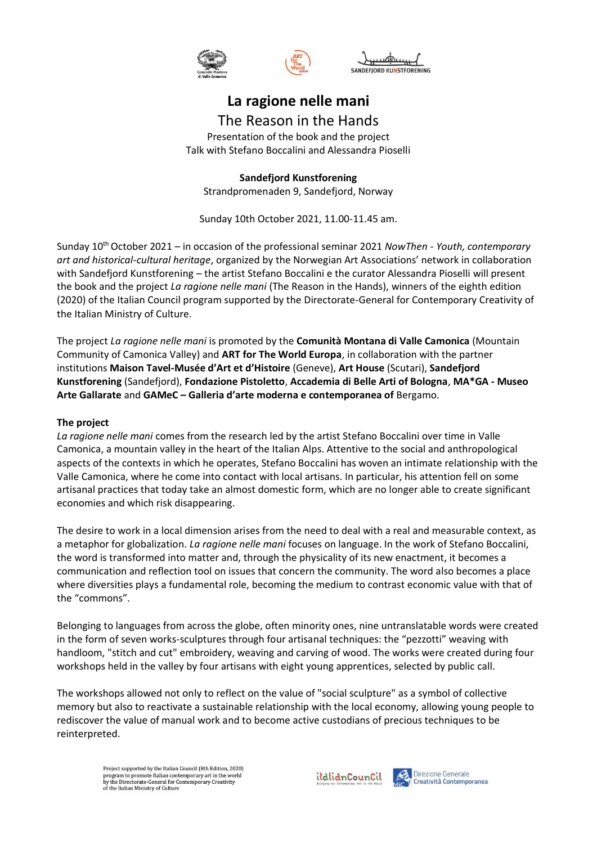





## **La ragione nelle mani**

The Reason in the Hands Presentation of the book and the project Talk with Stefano Boccalini and Alessandra Pioselli

**Sandefjord Kunstforening**  Strandpromenaden 9, Sandefjord, Norway

Sunday 10th October 2021, 11.00-11.45 am.

Sunday 10th October 2021 – in occasion of the professional seminar 2021 *NowThen - Youth, contemporary art and historical-cultural heritage*, organized by the Norwegian Art Associations' network in collaboration with Sandefjord Kunstforening – the artist Stefano Boccalini e the curator Alessandra Pioselli will present the book and the project *La ragione nelle mani* (The Reason in the Hands), winners of the eighth edition (2020) of the Italian Council program supported by the Directorate-General for Contemporary Creativity of the Italian Ministry of Culture.

The project *La ragione nelle mani* is promoted by the **Comunità Montana di Valle Camonica** (Mountain Community of Camonica Valley) and **ART for The World Europa**, in collaboration with the partner institutions **Maison Tavel-Musée d'Art et d'Histoire** (Geneve), **Art House** (Scutari), **Sandefjord Kunstforening** (Sandefjord), **Fondazione Pistoletto**, **Accademia di Belle Arti of Bologna**, **MA\*GA - Museo Arte Gallarate** and **GAMeC – Galleria d'arte moderna e contemporanea of** Bergamo.

## **The project**

*La ragione nelle mani* comes from the research led by the artist Stefano Boccalini over time in Valle Camonica, a mountain valley in the heart of the Italian Alps. Attentive to the social and anthropological aspects of the contexts in which he operates, Stefano Boccalini has woven an intimate relationship with the Valle Camonica, where he come into contact with local artisans. In particular, his attention fell on some artisanal practices that today take an almost domestic form, which are no longer able to create significant economies and which risk disappearing.

The desire to work in a local dimension arises from the need to deal with a real and measurable context, as a metaphor for globalization. *La ragione nelle mani* focuses on language. In the work of Stefano Boccalini, the word is transformed into matter and, through the physicality of its new enactment, it becomes a communication and reflection tool on issues that concern the community. The word also becomes a place where diversities plays a fundamental role, becoming the medium to contrast economic value with that of the "commons".

Belonging to languages from across the globe, often minority ones, nine untranslatable words were created in the form of seven works-sculptures through four artisanal techniques: the "pezzotti" weaving with handloom, "stitch and cut" embroidery, weaving and carving of wood. The works were created during four workshops held in the valley by four artisans with eight young apprentices, selected by public call.

The workshops allowed not only to reflect on the value of "social sculpture" as a symbol of collective memory but also to reactivate a sustainable relationship with the local economy, allowing young people to rediscover the value of manual work and to become active custodians of precious techniques to be reinterpreted.

Project supported by the Italian Council (8th Edition, 2020) The program to promote Italian contemporary art in the world<br>by the Directorate-General for Contemporary art in the world<br>by the Directorate-General for Contemporary Creativity<br>of the Italian Ministry of Culture